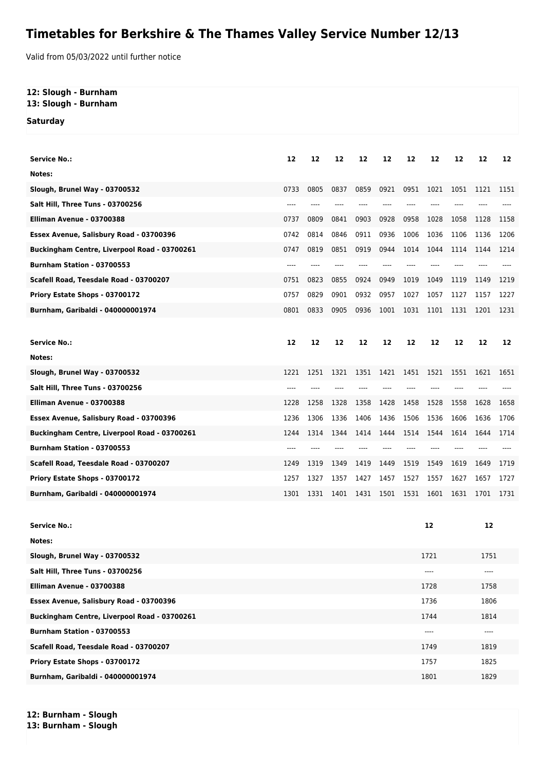## **Timetables for Berkshire & The Thames Valley Service Number 12/13**

Valid from 05/03/2022 until further notice

## **12: Slough - Burnham**

**13: Slough - Burnham**

**Saturday**

| <b>Service No.:</b>                          | 12   | 12   | 12   | 12   | 12    | 12   | 12    | 12   | 12   | 12   |
|----------------------------------------------|------|------|------|------|-------|------|-------|------|------|------|
| Notes:                                       |      |      |      |      |       |      |       |      |      |      |
| Slough, Brunel Way - 03700532                | 0733 | 0805 | 0837 | 0859 | 0921  | 0951 | 1021  | 1051 | 1121 | 1151 |
| Salt Hill, Three Tuns - 03700256             |      | ---- |      |      |       |      |       |      |      |      |
| Elliman Avenue - 03700388                    | 0737 | 0809 | 0841 | 0903 | 0928  | 0958 | 1028  | 1058 | 1128 | 1158 |
| Essex Avenue, Salisbury Road - 03700396      | 0742 | 0814 | 0846 | 0911 | 0936  | 1006 | 1036  | 1106 | 1136 | 1206 |
| Buckingham Centre, Liverpool Road - 03700261 | 0747 | 0819 | 0851 | 0919 | 0944  | 1014 | 1044  | 1114 | 1144 | 1214 |
| Burnham Station - 03700553                   | ---- | ---- |      |      |       |      |       |      |      |      |
| Scafell Road, Teesdale Road - 03700207       | 0751 | 0823 | 0855 | 0924 | 0949  | 1019 | 1049  | 1119 | 1149 | 1219 |
| Priory Estate Shops - 03700172               | 0757 | 0829 | 0901 | 0932 | 0957  | 1027 | 1057  | 1127 | 1157 | 1227 |
| Burnham, Garibaldi - 040000001974            | 0801 | 0833 | 0905 | 0936 | 1001  | 1031 | 1101  | 1131 | 1201 | 1231 |
|                                              |      |      |      |      |       |      |       |      |      |      |
| <b>Service No.:</b>                          | 12   | 12   | 12   | 12   | 12    | 12   | 12    | 12   | 12   | 12   |
| Notes:                                       |      |      |      |      |       |      |       |      |      |      |
| Slough, Brunel Way - 03700532                | 1221 | 1251 | 1321 | 1351 | 1421  | 1451 | 1521  | 1551 | 1621 | 1651 |
| Salt Hill, Three Tuns - 03700256             | ---- | ---- |      |      | $---$ | ---- |       |      |      |      |
| Elliman Avenue - 03700388                    | 1228 | 1258 | 1328 | 1358 | 1428  | 1458 | 1528  | 1558 | 1628 | 1658 |
| Essex Avenue, Salisbury Road - 03700396      | 1236 | 1306 | 1336 | 1406 | 1436  | 1506 | 1536  | 1606 | 1636 | 1706 |
| Buckingham Centre, Liverpool Road - 03700261 | 1244 | 1314 | 1344 | 1414 | 1444  | 1514 | 1544  | 1614 | 1644 | 1714 |
| Burnham Station - 03700553                   | ---- |      |      |      | $---$ | ---- | $---$ |      |      |      |
| Scafell Road, Teesdale Road - 03700207       | 1249 | 1319 | 1349 | 1419 | 1449  | 1519 | 1549  | 1619 | 1649 | 1719 |
| Priory Estate Shops - 03700172               | 1257 | 1327 | 1357 | 1427 | 1457  | 1527 | 1557  | 1627 | 1657 | 1727 |
| Burnham, Garibaldi - 040000001974            | 1301 | 1331 | 1401 | 1431 | 1501  | 1531 | 1601  | 1631 | 1701 | 1731 |
|                                              |      |      |      |      |       |      |       |      |      |      |
| <b>Service No.:</b>                          |      |      |      |      |       |      | 12    |      | 12   |      |
| Notes:                                       |      |      |      |      |       |      |       |      |      |      |
| Slough, Brunel Way - 03700532                |      |      |      |      |       |      | 1721  |      | 1751 |      |
| Salt Hill, Three Tuns - 03700256             |      |      |      |      |       |      | $---$ |      | ---- |      |

| Salt Hill, Three Tuns - 03700256                    | ---- | ----  |
|-----------------------------------------------------|------|-------|
| Elliman Avenue - 03700388                           | 1728 | 1758  |
| Essex Avenue, Salisbury Road - 03700396             | 1736 | 1806  |
| <b>Buckingham Centre, Liverpool Road - 03700261</b> | 1744 | 1814  |
| Burnham Station - 03700553                          | ---- | $---$ |
| Scafell Road, Teesdale Road - 03700207              | 1749 | 1819  |
| Priory Estate Shops - 03700172                      | 1757 | 1825  |
| Burnham, Garibaldi - 040000001974                   | 1801 | 1829  |